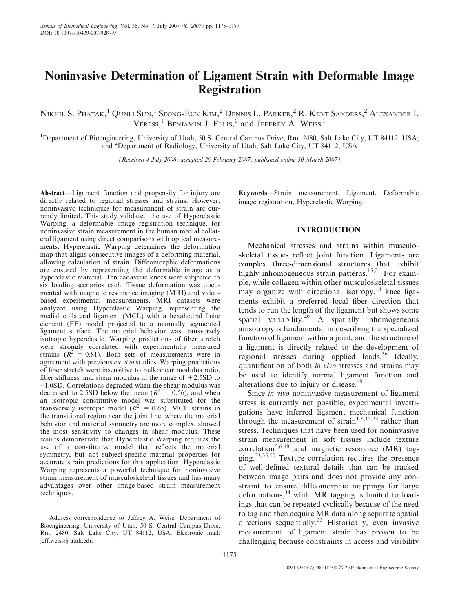# Noninvasive Determination of Ligament Strain with Deformable Image Registration

Nikhil S. Phatak, $^1$  Qunli Sun, $^1$  Seong-Eun Kim, $^2$  Dennis L. Parker, $^2$  R. Kent Sanders, $^2$  Alexander I. VERESS,<sup>1</sup> BENJAMIN J. ELLIS,<sup>1</sup> and Jeffrey A. Weiss<sup>1</sup>

<sup>1</sup>Department of Bioengineering, University of Utah, 50 S. Central Campus Drive, Rm. 2480, Salt Lake City, UT 84112, USA; and <sup>2</sup> Department of Radiology, University of Utah, Salt Lake City, UT 84112, USA

(Received 4 July 2006; accepted 26 February 2007; published online 30 March 2007)

Abstract—Ligament function and propensity for injury are directly related to regional stresses and strains. However, noninvasive techniques for measurement of strain are currently limited. This study validated the use of Hyperelastic Warping, a deformable image registration technique, for noninvasive strain measurement in the human medial collateral ligament using direct comparisons with optical measurements. Hyperelastic Warping determines the deformation map that aligns consecutive images of a deforming material, allowing calculation of strain. Diffeomorphic deformations are ensured by representing the deformable image as a hyperelastic material. Ten cadaveric knees were subjected to six loading scenarios each. Tissue deformation was documented with magnetic resonance imaging (MRI) and videobased experimental measurements. MRI datasets were analyzed using Hyperelastic Warping, representing the medial collateral ligament (MCL) with a hexahedral finite element (FE) model projected to a manually segmented ligament surface. The material behavior was transversely isotropic hyperelastic. Warping predictions of fiber stretch were strongly correlated with experimentally measured strains  $(R^2 = 0.81)$ . Both sets of measurements were in agreement with previous ex vivo studies. Warping predictions of fiber stretch were insensitive to bulk:shear modulus ratio, fiber stiffness, and shear modulus in the range of  $+2.5SD$  to  $-1.0SD$ . Correlations degraded when the shear modulus was decreased to 2.5SD below the mean ( $R^2 = 0.56$ ), and when an isotropic constitutive model was substituted for the transversely isotropic model ( $R^2 = 0.65$ ). MCL strains in the transitional region near the joint line, where the material behavior and material symmetry are more complex, showed the most sensitivity to changes in shear modulus. These results demonstrate that Hyperelastic Warping requires the use of a constitutive model that reflects the material symmetry, but not subject-specific material properties for accurate strain predictions for this application. Hyperelastic Warping represents a powerful technique for noninvasive strain measurement of musculoskeletal tissues and has many advantages over other image-based strain measurement techniques.

Keywords—Strain measurement, Ligament, Deformable image registration, Hyperelastic Warping.

# INTRODUCTION

Mechanical stresses and strains within musculoskeletal tissues reflect joint function. Ligaments are complex three-dimensional structures that exhibit highly inhomogeneous strain patterns.<sup>15,21</sup> For example, while collagen within other musculoskeletal tissues may organize with directional isotropy,  $14$  knee ligaments exhibit a preferred local fiber direction that tends to run the length of the ligament but shows some spatial variability. $49$  A spatially inhomogeneous anisotropy is fundamental in describing the specialized function of ligament within a joint, and the structure of a ligament is directly related to the development of regional stresses during applied loads.<sup>36</sup> Ideally, quantification of both in vivo stresses and strains may be used to identify normal ligament function and alterations due to injury or disease.<sup>49</sup>

Since *in vivo* noninvasive measurement of ligament stress is currently not possible, experimental investigations have inferred ligament mechanical function through the measurement of strain<sup>1,8,15,23</sup> rather than stress. Techniques that have been used for noninvasive strain measurement in soft tissues include texture correlation<sup>5,6,18</sup> and magnetic resonance (MR) tagging.33,35,50 Texture correlation requires the presence of well-defined textural details that can be tracked between image pairs and does not provide any constraint to ensure diffeomorphic mappings for large deformations,  $34$  while MR tagging is limited to loadings that can be repeated cyclically because of the need to tag and then acquire MR data along separate spatial directions sequentially.<sup>33</sup> Historically, even invasive measurement of ligament strain has proven to be challenging because constraints in access and visibility

Address correspondence to Jeffrey A. Weiss, Department of Bioengineering, University of Utah, 50 S. Central Campus Drive, Rm. 2480, Salt Lake City, UT 84112, USA. Electronic mail: jeff.weiss@utah.edu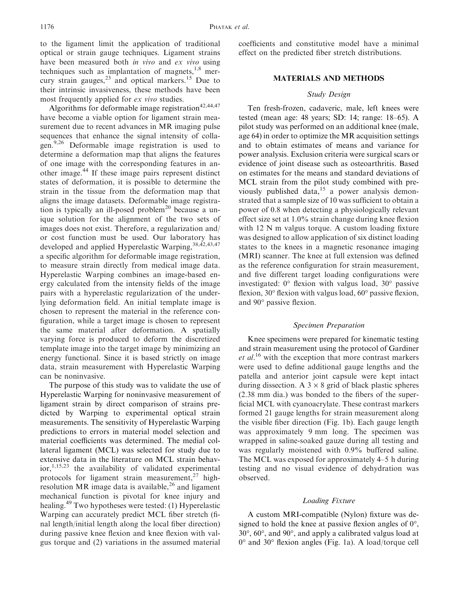to the ligament limit the application of traditional optical or strain gauge techniques. Ligament strains have been measured both in vivo and ex vivo using techniques such as implantation of magnets, $1,8$  mercury strain gauges, $^{23}$  and optical markers.<sup>15</sup> Due to their intrinsic invasiveness, these methods have been most frequently applied for ex vivo studies.

Algorithms for deformable image registration<sup>42,44,47</sup> have become a viable option for ligament strain measurement due to recent advances in MR imaging pulse sequences that enhance the signal intensity of collagen.9,26 Deformable image registration is used to determine a deformation map that aligns the features of one image with the corresponding features in another image.<sup>44</sup> If these image pairs represent distinct states of deformation, it is possible to determine the strain in the tissue from the deformation map that aligns the image datasets. Deformable image registration is typically an ill-posed problem<sup>20</sup> because a unique solution for the alignment of the two sets of images does not exist. Therefore, a regularization and/ or cost function must be used. Our laboratory has developed and applied Hyperelastic Warping, 38,42,43,47 a specific algorithm for deformable image registration, to measure strain directly from medical image data. Hyperelastic Warping combines an image-based energy calculated from the intensity fields of the image pairs with a hyperelastic regularization of the underlying deformation field. An initial template image is chosen to represent the material in the reference configuration, while a target image is chosen to represent the same material after deformation. A spatially varying force is produced to deform the discretized template image into the target image by minimizing an energy functional. Since it is based strictly on image data, strain measurement with Hyperelastic Warping can be noninvasive.

The purpose of this study was to validate the use of Hyperelastic Warping for noninvasive measurement of ligament strain by direct comparison of strains predicted by Warping to experimental optical strain measurements. The sensitivity of Hyperelastic Warping predictions to errors in material model selection and material coefficients was determined. The medial collateral ligament (MCL) was selected for study due to extensive data in the literature on MCL strain behav- $\arctan 1,15,23$  the availability of validated experimental protocols for ligament strain measurement,  $27$  highresolution MR image data is available, $2<sup>6</sup>$  and ligament mechanical function is pivotal for knee injury and healing.49 Two hypotheses were tested: (1) Hyperelastic Warping can accurately predict MCL fiber stretch (final length/initial length along the local fiber direction) during passive knee flexion and knee flexion with valgus torque and (2) variations in the assumed material

coefficients and constitutive model have a minimal effect on the predicted fiber stretch distributions.

# MATERIALS AND METHODS

## Study Design

Ten fresh-frozen, cadaveric, male, left knees were tested (mean age: 48 years; SD: 14; range: 18–65). A pilot study was performed on an additional knee (male, age 64) in order to optimize the MR acquisition settings and to obtain estimates of means and variance for power analysis. Exclusion criteria were surgical scars or evidence of joint disease such as osteoarthritis. Based on estimates for the means and standard deviations of MCL strain from the pilot study combined with previously published data,<sup>15</sup> a power analysis demonstrated that a sample size of 10 was sufficient to obtain a power of 0.8 when detecting a physiologically relevant effect size set at 1.0% strain change during knee flexion with 12 N m valgus torque. A custom loading fixture was designed to allow application of six distinct loading states to the knees in a magnetic resonance imaging (MRI) scanner. The knee at full extension was defined as the reference configuration for strain measurement, and five different target loading configurations were investigated:  $0^{\circ}$  flexion with valgus load,  $30^{\circ}$  passive flexion, 30° flexion with valgus load, 60° passive flexion, and 90° passive flexion.

## Specimen Preparation

Knee specimens were prepared for kinematic testing and strain measurement using the protocol of Gardiner et al.<sup>16</sup> with the exception that more contrast markers were used to define additional gauge lengths and the patella and anterior joint capsule were kept intact during dissection. A  $3 \times 8$  grid of black plastic spheres (2.38 mm dia.) was bonded to the fibers of the superficial MCL with cyanoacrylate. These contrast markers formed 21 gauge lengths for strain measurement along the visible fiber direction (Fig. 1b). Each gauge length was approximately 9 mm long. The specimen was wrapped in saline-soaked gauze during all testing and was regularly moistened with 0.9% buffered saline. The MCL was exposed for approximately 4–5 h during testing and no visual evidence of dehydration was observed.

# Loading Fixture

A custom MRI-compatible (Nylon) fixture was designed to hold the knee at passive flexion angles of  $0^{\circ}$ , 30-, 60-, and 90-, and apply a calibrated valgus load at 0° and 30° flexion angles (Fig. 1a). A load/torque cell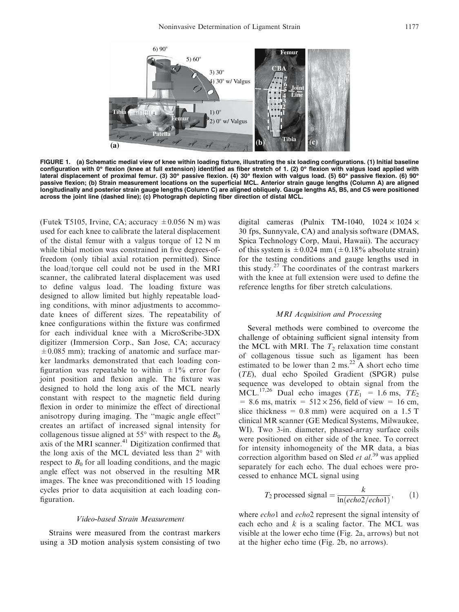

FIGURE 1. (a) Schematic medial view of knee within loading fixture, illustrating the six loading configurations. (1) Initial baseline configuration with 0° flexion (knee at full extension) identified as fiber stretch of 1. (2) 0° flexion with valgus load applied with lateral displacement of proximal femur. (3) 30° passive flexion. (4) 30° flexion with valgus load. (5) 60° passive flexion. (6) 90° passive flexion; (b) Strain measurement locations on the superficial MCL. Anterior strain gauge lengths (Column A) are aligned longitudinally and posterior strain gauge lengths (Column C) are aligned obliquely. Gauge lengths A5, B5, and C5 were positioned across the joint line (dashed line); (c) Photograph depicting fiber direction of distal MCL.

(Futek T5105, Irvine, CA; accuracy  $\pm 0.056$  N m) was used for each knee to calibrate the lateral displacement of the distal femur with a valgus torque of 12 N m while tibial motion was constrained in five degrees-offreedom (only tibial axial rotation permitted). Since the load/torque cell could not be used in the MRI scanner, the calibrated lateral displacement was used to define valgus load. The loading fixture was designed to allow limited but highly repeatable loading conditions, with minor adjustments to accommodate knees of different sizes. The repeatability of knee configurations within the fixture was confirmed for each individual knee with a MicroScribe-3DX digitizer (Immersion Corp., San Jose, CA; accuracy  $\pm$ 0.085 mm); tracking of anatomic and surface marker landmarks demonstrated that each loading configuration was repeatable to within  $\pm 1\%$  error for joint position and flexion angle. The fixture was designed to hold the long axis of the MCL nearly constant with respect to the magnetic field during flexion in order to minimize the effect of directional anisotropy during imaging. The ''magic angle effect'' creates an artifact of increased signal intensity for collagenous tissue aligned at 55 $^{\circ}$  with respect to the  $B_0$ axis of the MRI scanner.<sup>41</sup> Digitization confirmed that the long axis of the MCL deviated less than  $2^{\circ}$  with respect to  $B_0$  for all loading conditions, and the magic angle effect was not observed in the resulting MR images. The knee was preconditioned with 15 loading cycles prior to data acquisition at each loading configuration.

#### Video-based Strain Measurement

Strains were measured from the contrast markers using a 3D motion analysis system consisting of two digital cameras (Pulnix TM-1040,  $1024 \times 1024 \times$ 30 fps, Sunnyvale, CA) and analysis software (DMAS, Spica Technology Corp, Maui, Hawaii). The accuracy of this system is  $\pm 0.024$  mm ( $\pm 0.18\%$  absolute strain) for the testing conditions and gauge lengths used in this study. $27$  The coordinates of the contrast markers with the knee at full extension were used to define the reference lengths for fiber stretch calculations.

## MRI Acquisition and Processing

Several methods were combined to overcome the challenge of obtaining sufficient signal intensity from the MCL with MRI. The  $T_2$  relaxation time constant of collagenous tissue such as ligament has been estimated to be lower than 2 ms.<sup>22</sup> A short echo time (TE), dual echo Spoiled Gradient (SPGR) pulse sequence was developed to obtain signal from the MCL.<sup>17,26</sup> Dual echo images ( $TE_1 = 1.6$  ms,  $TE_2$ )  $= 8.6$  ms, matrix  $= 512 \times 256$ , field of view  $= 16$  cm, slice thickness =  $0.8$  mm) were acquired on a 1.5 T clinical MR scanner (GE Medical Systems, Milwaukee, WI). Two 3-in. diameter, phased-array surface coils were positioned on either side of the knee. To correct for intensity inhomogeneity of the MR data, a bias correction algorithm based on Sled et  $al$ .<sup>39</sup> was applied separately for each echo. The dual echoes were processed to enhance MCL signal using

$$
T_2 \text{ processed signal} = \frac{k}{\ln(echo2/echo1)},\qquad(1)
$$

where *echo*1 and *echo*2 represent the signal intensity of each echo and  $k$  is a scaling factor. The MCL was visible at the lower echo time (Fig. 2a, arrows) but not at the higher echo time (Fig. 2b, no arrows).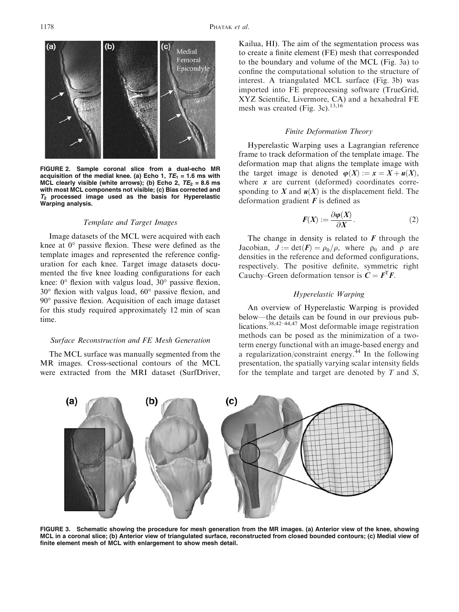

FIGURE 2. Sample coronal slice from a dual-echo MR acquisition of the medial knee. (a) Echo 1,  $TE_1 = 1.6$  ms with MCL clearly visible (white arrows); (b) Echo 2,  $TE_2 = 8.6$  ms with most MCL components not visible; (c) Bias corrected and  $T_2$  processed image used as the basis for Hyperelastic Warping analysis.

#### Template and Target Images

Image datasets of the MCL were acquired with each knee at  $0^{\circ}$  passive flexion. These were defined as the template images and represented the reference configuration for each knee. Target image datasets documented the five knee loading configurations for each knee:  $0^{\circ}$  flexion with valgus load,  $30^{\circ}$  passive flexion,  $30^{\circ}$  flexion with valgus load,  $60^{\circ}$  passive flexion, and 90° passive flexion. Acquisition of each image dataset for this study required approximately 12 min of scan time.

#### Surface Reconstruction and FE Mesh Generation

The MCL surface was manually segmented from the MR images. Cross-sectional contours of the MCL were extracted from the MRI dataset (SurfDriver, Kailua, HI). The aim of the segmentation process was to create a finite element (FE) mesh that corresponded to the boundary and volume of the MCL (Fig. 3a) to confine the computational solution to the structure of interest. A triangulated MCL surface (Fig. 3b) was imported into FE preprocessing software (TrueGrid, XYZ Scientific, Livermore, CA) and a hexahedral FE mesh was created (Fig. 3c). $13,16$ 

# Finite Deformation Theory

Hyperelastic Warping uses a Lagrangian reference frame to track deformation of the template image. The deformation map that aligns the template image with the target image is denoted  $\varphi(X) := x = X + u(X)$ , where  $x$  are current (deformed) coordinates corresponding to X and  $u(X)$  is the displacement field. The deformation gradient  $\boldsymbol{F}$  is defined as

$$
F(X) := \frac{\partial \varphi(X)}{\partial X}.
$$
 (2)

The change in density is related to  $F$  through the Jacobian,  $J := det(F) = \rho_0/\rho$ , where  $\rho_0$  and  $\rho$  are densities in the reference and deformed configurations, respectively. The positive definite, symmetric right Cauchy–Green deformation tensor is  $C = F<sup>T</sup>F$ .

# Hyperelastic Warping

An overview of Hyperelastic Warping is provided below—the details can be found in our previous publications.<sup>38,42–44,47</sup> Most deformable image registration methods can be posed as the minimization of a twoterm energy functional with an image-based energy and a regularization/constraint energy. $44$  In the following presentation, the spatially varying scalar intensity fields for the template and target are denoted by  $T$  and  $S$ ,



FIGURE 3. Schematic showing the procedure for mesh generation from the MR images. (a) Anterior view of the knee, showing MCL in a coronal slice; (b) Anterior view of triangulated surface, reconstructed from closed bounded contours; (c) Medial view of finite element mesh of MCL with enlargement to show mesh detail.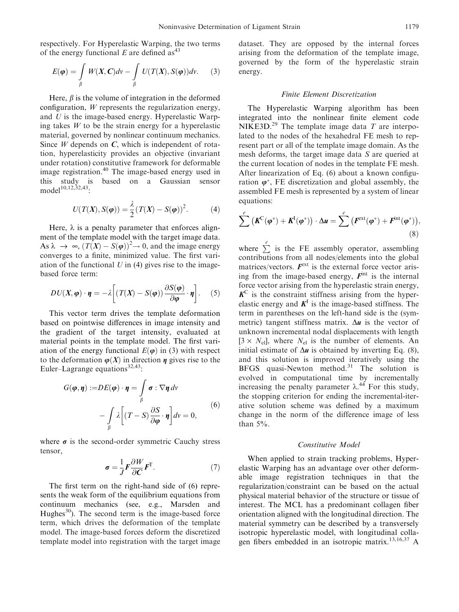respectively. For Hyperelastic Warping, the two terms of the energy functional E are defined as<sup>43</sup>

$$
E(\boldsymbol{\varphi}) = \int_{\beta} W(X, \boldsymbol{C}) dv - \int_{\beta} U(T(X), S(\boldsymbol{\varphi})) dv.
$$
 (3)

Here,  $\beta$  is the volume of integration in the deformed configuration, W represents the regularization energy, and U is the image-based energy. Hyperelastic Warping takes  $W$  to be the strain energy for a hyperelastic material, governed by nonlinear continuum mechanics. Since  $W$  depends on  $C$ , which is independent of rotation, hyperelasticity provides an objective (invariant under rotation) constitutive framework for deformable image registration.<sup>40</sup> The image-based energy used in<br>this study is based on a Gaussian sensor based on a Gaussian sensor model<sup>10,12,32,43</sup>:

$$
U(T(X), S(\boldsymbol{\varphi})) = \frac{\lambda}{2} (T(X) - S(\boldsymbol{\varphi}))^{2}.
$$
 (4)

Here,  $\lambda$  is a penalty parameter that enforces alignment of the template model with the target image data. As  $\lambda \rightarrow \infty$ ,  $(T(X) - S(\varphi))^2 \rightarrow 0$ , and the image energy converges to a finite, minimized value. The first variation of the functional  $U$  in (4) gives rise to the imagebased force term:

$$
DU(X, \varphi) \cdot \eta = -\lambda \left[ \left( T(X) - S(\varphi) \right) \frac{\partial S(\varphi)}{\partial \varphi} \cdot \eta \right]. \tag{5}
$$

This vector term drives the template deformation based on pointwise differences in image intensity and the gradient of the target intensity, evaluated at material points in the template model. The first variation of the energy functional  $E(\varphi)$  in (3) with respect to the deformation  $\varphi(X)$  in direction  $\eta$  gives rise to the Euler–Lagrange equations<sup>32,43</sup>:

$$
G(\varphi, \eta) := DE(\varphi) \cdot \eta = \int_{\beta} \sigma : \nabla \eta \, dv
$$

$$
- \int_{\beta} \lambda \left[ (T - S) \frac{\partial S}{\partial \varphi} \cdot \eta \right] dv = 0,
$$
 (6)

where  $\sigma$  is the second-order symmetric Cauchy stress tensor,

$$
\sigma = \frac{1}{J} F \frac{\partial W}{\partial C} F^{T}.
$$
 (7)

The first term on the right-hand side of (6) represents the weak form of the equilibrium equations from continuum mechanics (see, e.g., Marsden and Hughes $^{30}$ ). The second term is the image-based force term, which drives the deformation of the template model. The image-based forces deform the discretized template model into registration with the target image dataset. They are opposed by the internal forces arising from the deformation of the template image, governed by the form of the hyperelastic strain energy.

## Finite Element Discretization

The Hyperelastic Warping algorithm has been integrated into the nonlinear finite element code NIKE3D.<sup>29</sup> The template image data  $T$  are interpolated to the nodes of the hexahedral FE mesh to represent part or all of the template image domain. As the mesh deforms, the target image data S are queried at the current location of nodes in the template FE mesh. After linearization of Eq. (6) about a known configuration  $\varphi^*$ , FE discretization and global assembly, the assembled FE mesh is represented by a system of linear equations:

$$
\sum^e \left( \boldsymbol{K}^C(\boldsymbol{\varphi}^*) + \boldsymbol{K}^I(\boldsymbol{\varphi}^*) \right) \cdot \Delta \boldsymbol{u} = \sum^e \left( \boldsymbol{F}^{ext}(\boldsymbol{\varphi}^*) + \boldsymbol{F}^{int}(\boldsymbol{\varphi}^*) \right), \tag{8}
$$

where  $\sum_{n=1}^e$  is the FE assembly operator, assembling contributions from all nodes/elements into the global matrices/vectors.  $\mathbf{F}^{\text{ext}}$  is the external force vector arising from the image-based energy,  $F<sup>int</sup>$  is the internal force vector arising from the hyperelastic strain energy,  $K^C$  is the constraint stiffness arising from the hyperelastic energy and  $K<sup>1</sup>$  is the image-based stiffness. The term in parentheses on the left-hand side is the (symmetric) tangent stiffness matrix.  $\Delta u$  is the vector of unknown incremental nodal displacements with length  $[3 \times N_{el}]$ , where  $N_{el}$  is the number of elements. An initial estimate of  $\Delta u$  is obtained by inverting Eq. (8), and this solution is improved iteratively using the BFGS quasi-Newton method.<sup>31</sup> The solution is evolved in computational time by incrementally increasing the penalty parameter  $\lambda$ .<sup>44</sup> For this study, the stopping criterion for ending the incremental-iterative solution scheme was defined by a maximum change in the norm of the difference image of less than 5%.

#### Constitutive Model

When applied to strain tracking problems, Hyperelastic Warping has an advantage over other deformable image registration techniques in that the regularization/constraint can be based on the actual physical material behavior of the structure or tissue of interest. The MCL has a predominant collagen fiber orientation aligned with the longitudinal direction. The material symmetry can be described by a transversely isotropic hyperelastic model, with longitudinal collagen fibers embedded in an isotropic matrix.<sup>13,16,37</sup> A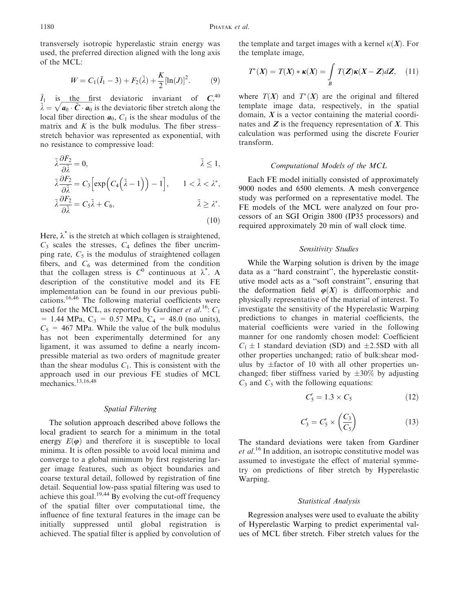transversely isotropic hyperelastic strain energy was used, the preferred direction aligned with the long axis of the MCL:

$$
W = C_1(\tilde{I}_1 - 3) + F_2(\tilde{\lambda}) + \frac{K}{2}[\ln(J)]^2.
$$
 (9)

 $\tilde{I}_1$  is the first deviatoric invariant of  $C_1^{40}$  $\tilde{\lambda} = \sqrt{a_0 \cdot \tilde{C} \cdot a_0}$  is the deviatoric fiber stretch along the local fiber direction  $a_0$ ,  $C_1$  is the shear modulus of the matrix and  $K$  is the bulk modulus. The fiber stress– stretch behavior was represented as exponential, with no resistance to compressive load:

$$
\tilde{\lambda} \frac{\partial F_2}{\partial \tilde{\lambda}} = 0, \qquad \tilde{\lambda} \le 1,
$$

$$
\tilde{\lambda} \frac{\partial F_2}{\partial \tilde{\lambda}} = C_3 \Big[ \exp \Big( C_4 \Big( \tilde{\lambda} - 1 \Big) \Big) - 1 \Big], \qquad 1 < \tilde{\lambda} < \lambda^*,
$$
  

$$
\tilde{\lambda} \frac{\partial F_2}{\partial \tilde{\lambda}} = C_5 \tilde{\lambda} + C_6, \qquad \qquad \tilde{\lambda} \geq \lambda^*.
$$

 $(10)$ 

Here,  $\lambda^*$  is the stretch at which collagen is straightened,  $C_3$  scales the stresses,  $C_4$  defines the fiber uncrimping rate,  $C_5$  is the modulus of straightened collagen fibers, and  $C_6$  was determined from the condition that the collagen stress is  $C^0$  continuous at  $\lambda^*$ . A description of the constitutive model and its FE implementation can be found in our previous publications.16,46 The following material coefficients were used for the MCL, as reported by Gardiner et al.<sup>16</sup>:  $C_1$  $= 1.44 \text{ MPa}, C_3 = 0.57 \text{ MPa}, C_4 = 48.0 \text{ (no units)}$  $C_5$  = 467 MPa. While the value of the bulk modulus has not been experimentally determined for any ligament, it was assumed to define a nearly incompressible material as two orders of magnitude greater than the shear modulus  $C_1$ . This is consistent with the approach used in our previous FE studies of MCL mechanics.<sup>13,16,48</sup>

## Spatial Filtering

The solution approach described above follows the local gradient to search for a minimum in the total energy  $E(\varphi)$  and therefore it is susceptible to local minima. It is often possible to avoid local minima and converge to a global minimum by first registering larger image features, such as object boundaries and coarse textural detail, followed by registration of fine detail. Sequential low-pass spatial filtering was used to achieve this goal.<sup>19,44</sup> By evolving the cut-off frequency of the spatial filter over computational time, the influence of fine textural features in the image can be initially suppressed until global registration is achieved. The spatial filter is applied by convolution of the template and target images with a kernel  $\kappa(X)$ . For the template image,

$$
T^*(X) = T(X) * \kappa(X) = \int\limits_B T(Z) \kappa(X - Z) dZ, \quad (11)
$$

where  $T(X)$  and  $T^*(X)$  are the original and filtered template image data, respectively, in the spatial domain,  $X$  is a vector containing the material coordinates and  $Z$  is the frequency representation of  $X$ . This calculation was performed using the discrete Fourier transform.

## Computational Models of the MCL

Each FE model initially consisted of approximately 9000 nodes and 6500 elements. A mesh convergence study was performed on a representative model. The FE models of the MCL were analyzed on four processors of an SGI Origin 3800 (IP35 processors) and required approximately 20 min of wall clock time.

#### Sensitivity Studies

While the Warping solution is driven by the image data as a ''hard constraint'', the hyperelastic constitutive model acts as a ''soft constraint'', ensuring that the deformation field  $\varphi(X)$  is diffeomorphic and physically representative of the material of interest. To investigate the sensitivity of the Hyperelastic Warping predictions to changes in material coefficients, the material coefficients were varied in the following manner for one randomly chosen model: Coefficient  $C_1 \pm 1$  standard deviation (SD) and  $\pm 2.5SD$  with all other properties unchanged; ratio of bulk:shear modulus by  $\pm$ factor of 10 with all other properties unchanged; fiber stiffness varied by  $\pm 30\%$  by adjusting  $C_3$  and  $C_5$  with the following equations:

$$
C_5' = 1.3 \times C_5 \tag{12}
$$

$$
C_3' = C_5' \times \left(\frac{C_3}{C_5}\right) \tag{13}
$$

The standard deviations were taken from Gardiner et al.<sup>16</sup> In addition, an isotropic constitutive model was assumed to investigate the effect of material symmetry on predictions of fiber stretch by Hyperelastic Warping.

#### Statistical Analysis

Regression analyses were used to evaluate the ability of Hyperelastic Warping to predict experimental values of MCL fiber stretch. Fiber stretch values for the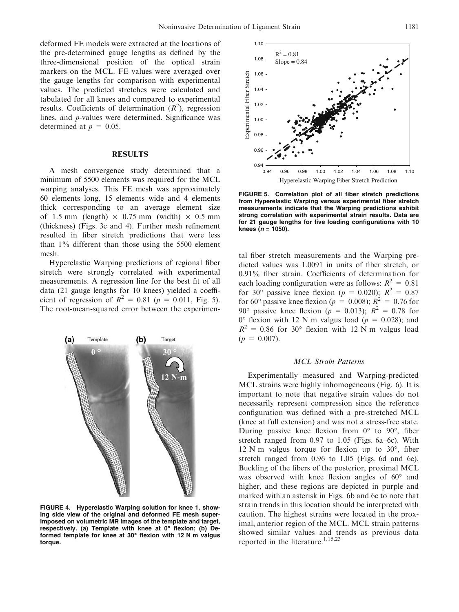deformed FE models were extracted at the locations of the pre-determined gauge lengths as defined by the three-dimensional position of the optical strain markers on the MCL. FE values were averaged over the gauge lengths for comparison with experimental values. The predicted stretches were calculated and tabulated for all knees and compared to experimental results. Coefficients of determination  $(R^2)$ , regression lines, and p-values were determined. Significance was determined at  $p = 0.05$ .

## RESULTS

A mesh convergence study determined that a minimum of 5500 elements was required for the MCL warping analyses. This FE mesh was approximately 60 elements long, 15 elements wide and 4 elements thick corresponding to an average element size of 1.5 mm (length)  $\times$  0.75 mm (width)  $\times$  0.5 mm (thickness) (Figs. 3c and 4). Further mesh refinement resulted in fiber stretch predictions that were less than 1% different than those using the 5500 element mesh.

Hyperelastic Warping predictions of regional fiber stretch were strongly correlated with experimental measurements. A regression line for the best fit of all data (21 gauge lengths for 10 knees) yielded a coefficient of regression of  $R^2 = 0.81$  ( $p = 0.011$ , Fig. 5). The root-mean-squared error between the experimen-



FIGURE 4. Hyperelastic Warping solution for knee 1, showing side view of the original and deformed FE mesh superimposed on volumetric MR images of the template and target, respectively. (a) Template with knee at  $0^\circ$  flexion; (b) Deformed template for knee at 30° flexion with 12 N m valgus torque.



FIGURE 5. Correlation plot of all fiber stretch predictions from Hyperelastic Warping versus experimental fiber stretch measurements indicate that the Warping predictions exhibit strong correlation with experimental strain results. Data are for 21 gauge lengths for five loading configurations with 10 knees ( $n = 1050$ ).

tal fiber stretch measurements and the Warping predicted values was 1.0091 in units of fiber stretch, or 0.91% fiber strain. Coefficients of determination for each loading configuration were as follows:  $R^2 = 0.81$ for 30° passive knee flexion ( $p = 0.020$ );  $R^2 = 0.87$ for 60° passive knee flexion ( $p = 0.008$ );  $R^2 = 0.76$  for 90° passive knee flexion ( $p = 0.013$ );  $R^2 = 0.78$  for  $0^{\circ}$  flexion with 12 N m valgus load ( $p = 0.028$ ); and  $R^2 = 0.86$  for 30° flexion with 12 N m valgus load  $(p = 0.007)$ .

#### MCL Strain Patterns

Experimentally measured and Warping-predicted MCL strains were highly inhomogeneous (Fig. 6). It is important to note that negative strain values do not necessarily represent compression since the reference configuration was defined with a pre-stretched MCL (knee at full extension) and was not a stress-free state. During passive knee flexion from  $0^{\circ}$  to  $90^{\circ}$ , fiber stretch ranged from 0.97 to 1.05 (Figs. 6a–6c). With  $12$  N m valgus torque for flexion up to  $30^{\circ}$ , fiber stretch ranged from 0.96 to 1.05 (Figs. 6d and 6e). Buckling of the fibers of the posterior, proximal MCL was observed with knee flexion angles of  $60^{\circ}$  and higher, and these regions are depicted in purple and marked with an asterisk in Figs. 6b and 6c to note that strain trends in this location should be interpreted with caution. The highest strains were located in the proximal, anterior region of the MCL. MCL strain patterns showed similar values and trends as previous data reported in the literature.<sup>1,15,23</sup>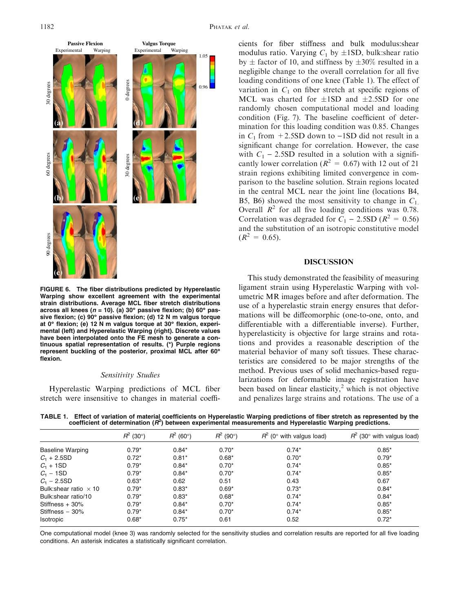

FIGURE 6. The fiber distributions predicted by Hyperelastic Warping show excellent agreement with the experimental strain distributions. Average MCL fiber stretch distributions across all knees ( $n = 10$ ). (a) 30° passive flexion; (b) 60° passive flexion; (c) 90° passive flexion; (d) 12 N m valgus torque at  $0^\circ$  flexion; (e) 12 N m valgus torque at  $30^\circ$  flexion, experimental (left) and Hyperelastic Warping (right). Discrete values have been interpolated onto the FE mesh to generate a continuous spatial representation of results. (\*) Purple regions represent buckling of the posterior, proximal MCL after 60 flexion.

#### Sensitivity Studies

Hyperelastic Warping predictions of MCL fiber stretch were insensitive to changes in material coeffi-

cients for fiber stiffness and bulk modulus:shear modulus ratio. Varying  $C_1$  by  $\pm$ 1SD, bulk:shear ratio by  $\pm$  factor of 10, and stiffness by  $\pm 30\%$  resulted in a negligible change to the overall correlation for all five loading conditions of one knee (Table 1). The effect of variation in  $C_1$  on fiber stretch at specific regions of MCL was charted for  $\pm$ 1SD and  $\pm$ 2.5SD for one randomly chosen computational model and loading condition (Fig. 7). The baseline coefficient of determination for this loading condition was 0.85. Changes in  $C_1$  from +2.5SD down to -1SD did not result in a significant change for correlation. However, the case with  $C_1$  – 2.5SD resulted in a solution with a significantly lower correlation ( $R^2 = 0.67$ ) with 12 out of 21 strain regions exhibiting limited convergence in comparison to the baseline solution. Strain regions located in the central MCL near the joint line (locations B4, B5, B6) showed the most sensitivity to change in  $C_1$ . Overall  $R^2$  for all five loading conditions was 0.78. Correlation was degraded for  $C_1 - 2.5SD (R^2 = 0.56)$ and the substitution of an isotropic constitutive model  $(R^2 = 0.65)$ .

#### DISCUSSION

This study demonstrated the feasibility of measuring ligament strain using Hyperelastic Warping with volumetric MR images before and after deformation. The use of a hyperelastic strain energy ensures that deformations will be diffeomorphic (one-to-one, onto, and differentiable with a differentiable inverse). Further, hyperelasticity is objective for large strains and rotations and provides a reasonable description of the material behavior of many soft tissues. These characteristics are considered to be major strengths of the method. Previous uses of solid mechanics-based regularizations for deformable image registration have been based on linear elasticity,<sup>2</sup> which is not objective and penalizes large strains and rotations. The use of a

TABLE 1. Effect of variation of material coefficients on Hyperelastic Warping predictions of fiber stretch as represented by the coefficient of determination ( $R^2$ ) between experimental measurements and Hyperelastic Warp

|                               | $R^2$ (30°) | $R^2$<br>$(60^\circ)$ | $R^2$ (90°) | $R^2$ (0° with valgus load) | $R^2$ (30° with valgus load) |
|-------------------------------|-------------|-----------------------|-------------|-----------------------------|------------------------------|
| <b>Baseline Warping</b>       | $0.79*$     | $0.84*$               | $0.70*$     | $0.74*$                     | $0.85*$                      |
| $C_1 + 2.5SD$                 | $0.72*$     | $0.81*$               | $0.68*$     | $0.70*$                     | $0.79*$                      |
| $C_1$ + 1SD                   | $0.79*$     | $0.84*$               | $0.70*$     | $0.74*$                     | $0.85*$                      |
| $C_1 - 1SD$                   | $0.79*$     | $0.84*$               | $0.70*$     | $0.74*$                     | $0.85*$                      |
| $C_1 - 2.5SD$                 | $0.63*$     | 0.62                  | 0.51        | 0.43                        | 0.67                         |
| Bulk: shear ratio $\times$ 10 | $0.79*$     | $0.83*$               | $0.69*$     | $0.73*$                     | $0.84*$                      |
| Bulk: shear ratio/10          | $0.79*$     | $0.83*$               | $0.68*$     | $0.74*$                     | $0.84*$                      |
| Stiffness $+30%$              | $0.79*$     | $0.84*$               | $0.70*$     | $0.74*$                     | $0.85*$                      |
| Stiffness $-30%$              | $0.79*$     | $0.84*$               | $0.70*$     | $0.74*$                     | $0.85*$                      |
| <b>Isotropic</b>              | $0.68*$     | $0.75*$               | 0.61        | 0.52                        | $0.72*$                      |
|                               |             |                       |             |                             |                              |

One computational model (knee 3) was randomly selected for the sensitivity studies and correlation results are reported for all five loading conditions. An asterisk indicates a statistically significant correlation.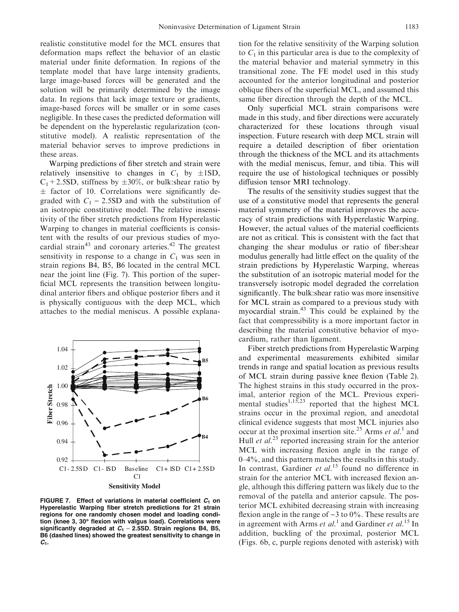realistic constitutive model for the MCL ensures that deformation maps reflect the behavior of an elastic material under finite deformation. In regions of the template model that have large intensity gradients, large image-based forces will be generated and the solution will be primarily determined by the image data. In regions that lack image texture or gradients, image-based forces will be smaller or in some cases negligible. In these cases the predicted deformation will be dependent on the hyperelastic regularization (constitutive model). A realistic representation of the material behavior serves to improve predictions in these areas.

Warping predictions of fiber stretch and strain were relatively insensitive to changes in  $C_1$  by  $\pm$ 1SD,  $C_1$ +2.5SD, stiffness by  $\pm 30\%$ , or bulk:shear ratio by  $\pm$  factor of 10. Correlations were significantly degraded with  $C_1$  – 2.5SD and with the substitution of an isotropic constitutive model. The relative insensitivity of the fiber stretch predictions from Hyperelastic Warping to changes in material coefficients is consistent with the results of our previous studies of myocardial strain<sup>43</sup> and coronary arteries.<sup>42</sup> The greatest sensitivity in response to a change in  $C_1$  was seen in strain regions B4, B5, B6 located in the central MCL near the joint line (Fig. 7). This portion of the superficial MCL represents the transition between longitudinal anterior fibers and oblique posterior fibers and it is physically contiguous with the deep MCL, which attaches to the medial meniscus. A possible explana-



FIGURE 7. Effect of variations in material coefficient  $C_1$  on Hyperelastic Warping fiber stretch predictions for 21 strain regions for one randomly chosen model and loading condition (knee 3, 30° flexion with valgus load). Correlations were significantly degraded at  $C_1$  – 2.5SD. Strain regions B4, B5, B6 (dashed lines) showed the greatest sensitivity to change in  $C<sub>1</sub>$ .

tion for the relative sensitivity of the Warping solution to  $C_1$  in this particular area is due to the complexity of the material behavior and material symmetry in this transitional zone. The FE model used in this study accounted for the anterior longitudinal and posterior oblique fibers of the superficial MCL, and assumed this same fiber direction through the depth of the MCL.

Only superficial MCL strain comparisons were made in this study, and fiber directions were accurately characterized for these locations through visual inspection. Future research with deep MCL strain will require a detailed description of fiber orientation through the thickness of the MCL and its attachments with the medial meniscus, femur, and tibia. This will require the use of histological techniques or possibly diffusion tensor MRI technology.

The results of the sensitivity studies suggest that the use of a constitutive model that represents the general material symmetry of the material improves the accuracy of strain predictions with Hyperelastic Warping. However, the actual values of the material coefficients are not as critical. This is consistent with the fact that changing the shear modulus or ratio of fiber:shear modulus generally had little effect on the quality of the strain predictions by Hyperelastic Warping, whereas the substitution of an isotropic material model for the transversely isotropic model degraded the correlation significantly. The bulk:shear ratio was more insensitive for MCL strain as compared to a previous study with myocardial strain.<sup>43</sup> This could be explained by the fact that compressibility is a more important factor in describing the material constitutive behavior of myocardium, rather than ligament.

Fiber stretch predictions from Hyperelastic Warping and experimental measurements exhibited similar trends in range and spatial location as previous results of MCL strain during passive knee flexion (Table 2). The highest strains in this study occurred in the proximal, anterior region of the MCL. Previous experimental studies<sup>1,15,23</sup> reported that the highest MCL strains occur in the proximal region, and anecdotal clinical evidence suggests that most MCL injuries also occur at the proximal insertion site.<sup>25</sup> Arms et al.<sup>1</sup> and Hull *et al.*<sup>23</sup> reported increasing strain for the anterior MCL with increasing flexion angle in the range of 0–4%, and this pattern matches the results in this study. In contrast, Gardiner et  $al$ .<sup>15</sup> found no difference in strain for the anterior MCL with increased flexion angle, although this differing pattern was likely due to the removal of the patella and anterior capsule. The posterior MCL exhibited decreasing strain with increasing flexion angle in the range of  $-3$  to 0%. These results are in agreement with Arms et  $al$ <sup>1</sup> and Gardiner et  $al$ <sup>15</sup> In addition, buckling of the proximal, posterior MCL (Figs. 6b, c, purple regions denoted with asterisk) with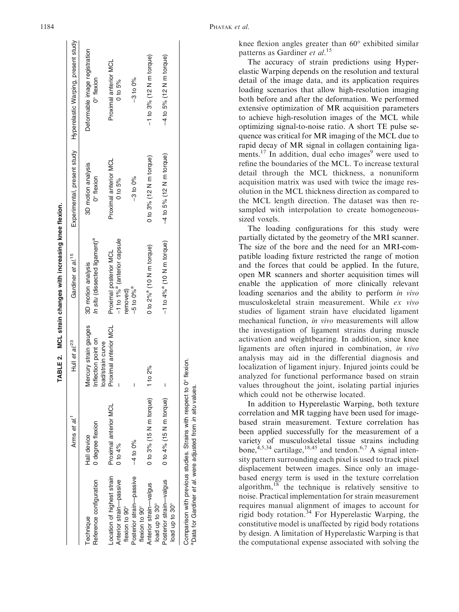|                                                              |                                                           |                                                                 | TABLE 2. MCL strain changes with increasing knee flexion.         |                                      |                                                                 |
|--------------------------------------------------------------|-----------------------------------------------------------|-----------------------------------------------------------------|-------------------------------------------------------------------|--------------------------------------|-----------------------------------------------------------------|
|                                                              | Arms et al.                                               | Hull et $al^{23}$                                               | Gardiner et al. <sup>15</sup>                                     |                                      | Experimental, present study Hyperelastic Warping, present study |
| Reference configuration<br>Technique                         | O degree flexion<br>Hall device                           | Mercury strain gauges<br>nflection point on<br>oad/strain curve | In situ (dissected ligament) <sup>a</sup><br>3D motion analysis   | 3D motion analysis<br>0° flexion     | Deformable image registration<br>0° flexion                     |
| -ocation of highest strain<br>Anterior strain-passive        | Proximal anterior MCL<br>0 to $4\%$                       | Proximal anterior MCL                                           | -1 to 1% <sup>a</sup> (anterior capsule<br>Proximal posterior MCL | Proximal anterior MCL<br>$0$ to $5%$ | Proximal anterior MCL<br>$0$ to $5%$                            |
| Posterior strain-passive<br>flexion to 90°<br>flexion to 90° | $-4$ to 0%                                                |                                                                 | $-5$ to $0\%$ <sup>a</sup><br>removed)                            | $-3$ to 0%                           | $-3$ to 0%                                                      |
| Anterior strain-valgus<br>load up to 30°                     | 0 to 3% (15 N m torque)                                   | to $2\%$                                                        | 0 to 2% <sup>a</sup> (10 N m torque)                              | 0 to 3% (12 N m torque)              | $-1$ to 3% (12 N m torque)                                      |
| Posterior strain-valqus<br>load up to 30°                    | 0 to 4% (15 N m torque)                                   |                                                                 | $-1$ to $4\%$ <sup>a</sup> (10 N m torque)                        | $-4$ to 5% (12 N m torque)           | $-4$ to 5% (12 N m torque)                                      |
|                                                              | Comparison with previous studies. Strains with respect to | 0° flexion.                                                     |                                                                   |                                      |                                                                 |

<sup>a</sup>Data for Gardiner *et al.* were adjusted from in situ values.

Pata for Gardiner et al. were adjusted from in situ values

knee flexion angles greater than  $60^{\circ}$  exhibited similar patterns as Gardiner et al.<sup>15</sup>

The accuracy of strain predictions using Hyperelastic Warping depends on the resolution and textural detail of the image data, and its application requires loading scenarios that allow high-resolution imaging both before and after the deformation. We performed extensive optimization of MR acquisition parameters to achieve high-resolution images of the MCL while optimizing signal-to-noise ratio. A short TE pulse sequence was critical for MR imaging of the MCL due to rapid decay of MR signal in collagen containing ligaments.<sup>17</sup> In addition, dual echo images<sup>9</sup> were used to refine the boundaries of the MCL. To increase textural detail through the MCL thickness, a nonuniform acquisition matrix was used with twice the image resolution in the MCL thickness direction as compared to the MCL length direction. The dataset was then resampled with interpolation to create homogeneoussized voxels.

The loading configurations for this study were partially dictated by the geometry of the MRI scanner. The size of the bore and the need for an MRI-compatible loading fixture restricted the range of motion and the forces that could be applied. In the future, open MR scanners and shorter acquisition times will enable the application of more clinically relevant loading scenarios and the ability to perform in vivo musculoskeletal strain measurement. While ex vivo studies of ligament strain have elucidated ligament mechanical function, in vivo measurements will allow the investigation of ligament strains during muscle activation and weightbearing. In addition, since knee ligaments are often injured in combination, in vivo analysis may aid in the differential diagnosis and localization of ligament injury. Injured joints could be analyzed for functional performance based on strain values throughout the joint, isolating partial injuries which could not be otherwise located.

In addition to Hyperelastic Warping, both texture correlation and MR tagging have been used for imagebased strain measurement. Texture correlation has been applied successfully for the measurement of a variety of musculoskeletal tissue strains including bone,  $4,5,34$  cartilage,  $18,45$  and tendon.  $6,7$  A signal intensity pattern surrounding each pixel is used to track pixel displacement between images. Since only an imagebased energy term is used in the texture correlation algorithm, $18$  the technique is relatively sensitive to noise. Practical implementation for strain measurement requires manual alignment of images to account for rigid body rotation.<sup>34</sup> For Hyperelastic Warping, the constitutive model is unaffected by rigid body rotations by design. A limitation of Hyperelastic Warping is that the computational expense associated with solving the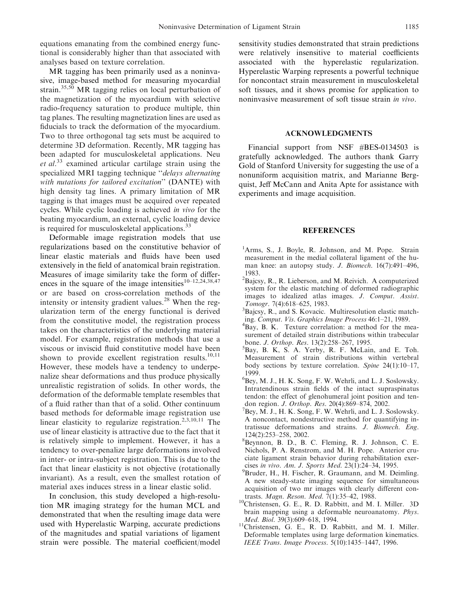equations emanating from the combined energy functional is considerably higher than that associated with analyses based on texture correlation.

MR tagging has been primarily used as a noninvasive, image-based method for measuring myocardial strain.<sup>35,50</sup> MR tagging relies on local perturbation of the magnetization of the myocardium with selective radio-frequency saturation to produce multiple, thin tag planes. The resulting magnetization lines are used as fiducials to track the deformation of the myocardium. Two to three orthogonal tag sets must be acquired to determine 3D deformation. Recently, MR tagging has been adapted for musculoskeletal applications. Neu et al.<sup>33</sup> examined articular cartilage strain using the specialized MRI tagging technique "delays alternating" with nutations for tailored excitation'' (DANTE) with high density tag lines. A primary limitation of MR tagging is that images must be acquired over repeated cycles. While cyclic loading is achieved in vivo for the beating myocardium, an external, cyclic loading device is required for musculoskeletal applications. $33$ 

Deformable image registration models that use regularizations based on the constitutive behavior of linear elastic materials and fluids have been used extensively in the field of anatomical brain registration. Measures of image similarity take the form of differences in the square of the image intensities<sup>10–12,24,38,47</sup> or are based on cross-correlation methods of the intensity or intensity gradient values.<sup>28</sup> When the regularization term of the energy functional is derived from the constitutive model, the registration process takes on the characteristics of the underlying material model. For example, registration methods that use a viscous or inviscid fluid constitutive model have been shown to provide excellent registration results. $10,11$ However, these models have a tendency to underpenalize shear deformations and thus produce physically unrealistic registration of solids. In other words, the deformation of the deformable template resembles that of a fluid rather than that of a solid. Other continuum based methods for deformable image registration use linear elasticity to regularize registration.<sup>2,3,10,11</sup> The use of linear elasticity is attractive due to the fact that it is relatively simple to implement. However, it has a tendency to over-penalize large deformations involved in inter- or intra-subject registration. This is due to the fact that linear elasticity is not objective (rotationally invariant). As a result, even the smallest rotation of material axes induces stress in a linear elastic solid.

In conclusion, this study developed a high-resolution MR imaging strategy for the human MCL and demonstrated that when the resulting image data were used with Hyperelastic Warping, accurate predictions of the magnitudes and spatial variations of ligament strain were possible. The material coefficient/model sensitivity studies demonstrated that strain predictions were relatively insensitive to material coefficients associated with the hyperelastic regularization. Hyperelastic Warping represents a powerful technique for noncontact strain measurement in musculoskeletal soft tissues, and it shows promise for application to noninvasive measurement of soft tissue strain in vivo.

## ACKNOWLEDGMENTS

Financial support from NSF #BES-0134503 is gratefully acknowledged. The authors thank Garry Gold of Stanford University for suggesting the use of a nonuniform acquisition matrix, and Marianne Bergquist, Jeff McCann and Anita Apte for assistance with experiments and image acquisition.

#### REFERENCES

- <sup>1</sup>Arms, S., J. Boyle, R. Johnson, and M. Pope. Strain measurement in the medial collateral ligament of the human knee: an autopsy study. J. Biomech. 16(7):491–496, 1983.
- <sup>2</sup>Bajcsy, R., R. Lieberson, and M. Reivich. A computerized system for the elastic matching of deformed radiographic images to idealized atlas images. J. Comput. Assist. Tomogr. 7(4):618–625, 1983.
- <sup>3</sup>Bajcsy, R., and S. Kovacic. Multiresolution elastic matching. Comput. Vis. Graphics Image Process 46:1-21, 1989.
- <sup>4</sup>Bay, B. K. Texture correlation: a method for the measurement of detailed strain distributions within trabecular bone. *J. Orthop. Res.* 13(2):258-267, 1995.
- <sup>5</sup>Bay, B. K, S. A. Yerby, R. F. McLain, and E. Toh. Measurement of strain distributions within vertebral body sections by texture correlation. Spine 24(1):10–17, 1999.
- 6 Bey, M. J., H. K. Song, F. W. Wehrli, and L. J. Soslowsky. Intratendinous strain fields of the intact supraspinatus tendon: the effect of glenohumeral joint position and tendon region. *J. Orthop. Res.* 20(4):869-874, 2002.
- $^7$ Bey, M. J., H. K. Song, F. W. Wehrli, and L. J. Soslowsky. A noncontact, nondestructive method for quantifying intratissue deformations and strains. J. Biomech. Eng. 124(2):253–258, 2002.
- 8 Beynnon, B. D., B. C. Fleming, R. J. Johnson, C. E. Nichols, P. A. Renstrom, and M. H. Pope. Anterior cruciate ligament strain behavior during rehabilitation exercises in vivo. Am. J. Sports Med. 23(1):24-34, 1995.
- <sup>9</sup>Bruder, H., H. Fischer, R. Graumann, and M. Deimling. A new steady-state imaging sequence for simultaneous acquisition of two mr images with clearly different con-
- trasts. *Magn. Reson. Med.* 7(1):35–42, 1988.<br><sup>10</sup>Christensen, G. E., R. D. Rabbitt, and M. I. Miller. 3D brain mapping using a deformable neuroanatomy. Phys.
- Med. Biol. 39(3):609–618, 1994.<br><sup>11</sup>Christensen, G. E., R. D. Rabbitt, and M. I. Miller. Deformable templates using large deformation kinematics. IEEE Trans. Image Process. 5(10):1435–1447, 1996.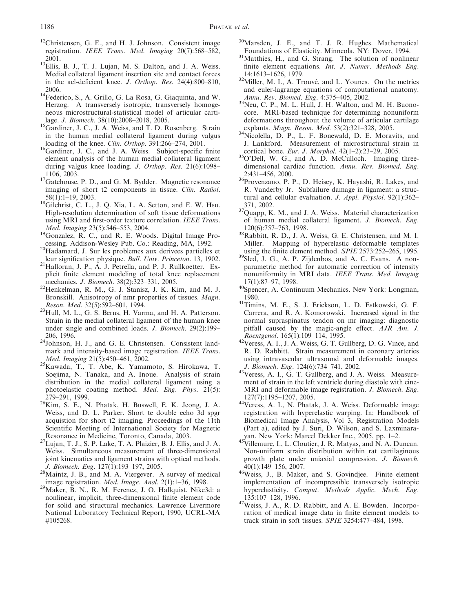- <sup>12</sup>Christensen, G. E., and H. J. Johnson. Consistent image registration. IEEE Trans. Med. Imaging 20(7):568–582,
- $^{2001}$ .<br><sup>13</sup>Ellis, B. J., T. J. Lujan, M. S. Dalton, and J. A. Weiss. Medial collateral ligament insertion site and contact forces in the acl-deficient knee. J. Orthop. Res. 24(4):800–810,
- 2006. 14Federico, S., A. Grillo, G. La Rosa, G. Giaquinta, and W. Herzog. A transversely isotropic, transversely homogeneous microstructural-statistical model of articular cartilage. *J. Biomech.* 38(10):2008–2018, 2005.
- <sup>15</sup>Gardiner, J. C., J. A. Weiss, and T. D. Rosenberg. Strain in the human medial collateral ligament during valgus loading of the knee. *Clin. Orthop.* 391:266-274, 2001.
- <sup>16</sup>Gardiner, J. C., and J. A. Weiss. Subject-specific finite element analysis of the human medial collateral ligament during valgus knee loading. J. Orthop. Res. 21(6):1098–
- 1106, 2003. 17Gatehouse, P. D., and G. M. Bydder. Magnetic resonance imaging of short t2 components in tissue. Clin. Radiol.
- 58(1):1–19, 2003.<br><sup>18</sup>Gilchrist, C. L., J. Q. Xia, L. A. Setton, and E. W. Hsu. High-resolution determination of soft tissue deformations using MRI and first-order texture correlation. IEEE Trans.
- Med. Imaging 23(5):546–553, 2004.<br><sup>19</sup>Gonzalez, R. C., and R. E. Woods. Digital Image Pro-<br>cessing. Addison-Wesley Pub. Co.: Reading, MA, 1992.
- <sup>20</sup>Hadamard, J. Sur les problemes aux derivees partielles et leur signification physique. *Bull. Univ. Princeton.* 13, 1902.
- $1<sup>21</sup>$ Halloran, J. P., A. J. Petrella, and P. J. Rullkoetter. Explicit finite element modeling of total knee replacement
- mechanics. *J. Biomech.* 38(2):323–331, 2005.<br><sup>22</sup>Henkelman, R. M., G. J. Stanisz, J. K. Kim, and M. J. Bronskill. Anisotropy of nmr properties of tissues. Magn.<br>Reson. Med. 32(5):592-601, 1994.
- Reson. Med. 32(5):592–601, 1994. 23Hull, M. L., G. S. Berns, H. Varma, and H. A. Patterson. Strain in the medial collateral ligament of the human knee under single and combined loads. J. Biomech. 29(2):199–
- $2^{206}$ , 1996.<br><sup>24</sup>Johnson, H. J., and G. E. Christensen. Consistent landmark and intensity-based image registration. IEEE Trans.
- Med. Imaging 21(5):450–461, 2002.<br><sup>25</sup>Kawada, T., T. Abe, K. Yamamoto, S. Hirokawa, T. Soejima, N. Tanaka, and A. Inoue. Analysis of strain distribution in the medial collateral ligament using a photoelastic coating method. Med. Eng. Phys. 21(5):
- 279–291, 1999. 26Kim, S. E., N. Phatak, H. Buswell, E. K. Jeong, J. A. Weiss, and D. L. Parker. Short te double echo 3d spgr acquistion for short t2 imaging. Proceedings of the 11th Scientific Meeting of International Society for Magnetic
- Resonance in Medicine, Toronto, Canada, 2003. 27Lujan, T. J., S. P. Lake, T. A. Plaizier, B. J. Ellis, and J. A. Weiss. Simultaneous measurement of three-dimensional joint kinematics and ligament strains with optical methods.
- J. Biomech. Eng. 127(1):193–197, 2005.<br><sup>28</sup>Maintz, J. B., and M. A. Viergever. A survey of medical image registration. *Med. Image. Anal.* 2(1):1–36, 1998.
- <sup>29</sup>Maker, B. N., R. M. Ferencz, J. O. Hallquist. Nike3d: a nonlinear, implicit, three-dimensional finite element code for solid and structural mechanics. Lawrence Livermore National Laboratory Technical Report, 1990, UCRL-MA #105268.
- $30$ Marsden, J. E., and T. J. R. Hughes. Mathematical Foundations of Elasticity. Minneola, NY: Dover, 1994.
- <sup>31</sup>Matthies, H., and G. Strang. The solution of nonlinear finite element equations. *Int. J. Numer. Methods Eng.* 14:1613-1626, 1979.
- $14.14$ <sup>32</sup>Miller, M. I., A. Trouvé, and L. Younes. On the metrics and euler-lagrange equations of computational anatomy.
- *Annu. Rev. Biomed. Eng.* 4:375–405, 2002.<br><sup>33</sup>Neu, C. P., M. L. Hull, J. H. Walton, and M. H. Buonocore. MRI-based technique for determining nonuniform deformations throughout the volume of articular cartilage
- explants. *Magn. Reson. Med.* 53(2):321–328, 2005.<br><sup>34</sup>Nicolella, D. P., L. F. Bonewald, D. E. Moravits, and J. Lankford. Measurement of microstructural strain in cortical bone. Eur. J. Morphol. 42(1-2):23-29, 2005.
- <sup>35</sup>O'Dell, W. G., and A. D. McCulloch. Imaging threedimensional cardiac function. Annu. Rev. Biomed. Eng.
- 2:431–456, 2000.<br> $36P$ Provenzano, P. P., D. Heisey, K. Hayashi, R. Lakes, and R. Vanderby Jr. Subfailure damage in ligament: a structural and cellular evaluation. J. Appl. Physiol. 92(1):362–
- $371, 2002$ .<br> $37$ Quapp, K. M., and J. A. Weiss. Material characterization of human medial collateral ligament. J. Biomech. Eng.
- $120(6):757–763$ , 1998.<br><sup>38</sup>Rabbitt, R. D., J. A. Weiss, G. E. Christensen, and M. I. Miller. Mapping of hyperelastic deformable templates using the finite element method. *SPIE* 2573:252-265, 1995.
- <sup>39</sup>Sled, J. G., A. P. Zijdenbos, and A. C. Evans. A nonparametric method for automatic correction of intensity nonuniformity in MRI data. IEEE Trans. Med. Imaging
- $17(1)$ :87–97, 1998.<br><sup>40</sup>Spencer, A. Continuum Mechanics. New York: Longman,
- 1980. 41Timins, M. E., S. J. Erickson, L. D. Estkowski, G. F. Carrera, and R. A. Komorowski. Increased signal in the normal supraspinatus tendon on mr imaging: diagnostic pitfall caused by the magic-angle effect. AJR Am. J.
- *Roentgenol.* 165(1):109–114, 1995.<br><sup>42</sup>Veress, A. I., J. A. Weiss, G. T. Gullberg, D. G. Vince, and R. D. Rabbitt. Strain measurement in coronary arteries using intravascular ultrasound and deformable images.
- J. Biomech. Eng. 124(6):734–741, 2002.<br><sup>43</sup>Veress, A. I., G. T. Gullberg, and J. A. Weiss. Measurement of strain in the left ventricle during diastole with cine-MRI and deformable image registration. J. Biomech. Eng.
- $127(7)$ :1195–1207, 2005.<br><sup>44</sup>Veress, A. I., N. Phatak, J. A. Weiss. Deformable image registration with hyperelastic warping. In: Handbook of Biomedical Image Analysis, Vol 3, Registration Models (Part a), edited by J. Suri, D. Wilson, and S. Laxminara-
- yan. New York: Marcel Dekker Inc., 2005, pp. 1–2.<br><sup>45</sup>Villemure, I., L. Cloutier, J. R. Matyas, and N. A. Duncan. Non-uniform strain distribution within rat cartilaginous growth plate under uniaxial compression. J. Biomech.
- $40(1)$ :149–156, 2007.<br> $46$  Weiss, J., B. Maker, and S. Govindjee. Finite element implementation of incompressible transversely isotropic hyperelasticity. Comput. Methods Applic. Mech. Eng.
- $135:107-128$ , 1996.<br><sup>47</sup>Weiss, J. A., R. D. Rabbitt, and A. E. Bowden. Incorporation of medical image data in finite element models to track strain in soft tissues. SPIE 3254:477–484, 1998.